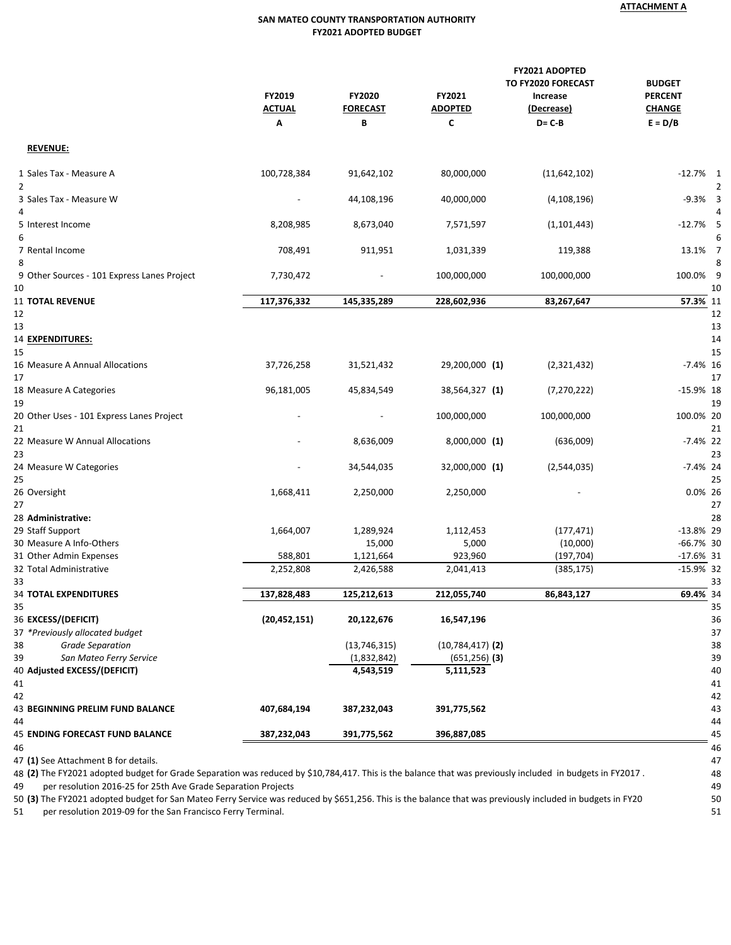## **SAN MATEO COUNTY TRANSPORTATION AUTHORITY FY2021 ADOPTED BUDGET**

|                                                   | FY2019<br>FY2020<br><b>ACTUAL</b><br><b>FORECAST</b><br>B<br>Α |                | FY2021<br><b>ADOPTED</b><br>C | <b>FY2021 ADOPTED</b><br>TO FY2020 FORECAST<br>Increase<br>(Decrease)<br>$D = C - B$ | <b>BUDGET</b><br><b>PERCENT</b><br><b>CHANGE</b><br>$E = D/B$ |  |
|---------------------------------------------------|----------------------------------------------------------------|----------------|-------------------------------|--------------------------------------------------------------------------------------|---------------------------------------------------------------|--|
| <b>REVENUE:</b>                                   |                                                                |                |                               |                                                                                      |                                                               |  |
| 1 Sales Tax - Measure A                           | 100,728,384                                                    | 91,642,102     | 80,000,000                    | (11, 642, 102)                                                                       | $-12.7%$ 1                                                    |  |
| $\overline{2}$                                    |                                                                |                |                               |                                                                                      | 2                                                             |  |
| 3 Sales Tax - Measure W                           | $\overline{\phantom{a}}$                                       | 44,108,196     | 40,000,000                    | (4, 108, 196)                                                                        | $-9.3%$ 3                                                     |  |
| 4                                                 |                                                                |                |                               |                                                                                      | Δ                                                             |  |
| 5 Interest Income                                 | 8,208,985                                                      | 8,673,040      | 7,571,597                     | (1, 101, 443)                                                                        | $-12.7%$ 5                                                    |  |
| 6                                                 |                                                                |                |                               |                                                                                      | 6                                                             |  |
| 7 Rental Income                                   | 708,491                                                        | 911,951        | 1,031,339                     | 119,388                                                                              | 13.1% 7                                                       |  |
| 8                                                 |                                                                |                |                               |                                                                                      | 8                                                             |  |
| 9 Other Sources - 101 Express Lanes Project<br>10 | 7,730,472                                                      |                | 100,000,000                   | 100,000,000                                                                          | 100.0% 9<br>10                                                |  |
| <b>11 TOTAL REVENUE</b>                           | 117,376,332                                                    | 145,335,289    | 228,602,936                   | 83,267,647                                                                           | 57.3% 11                                                      |  |
| 12                                                |                                                                |                |                               |                                                                                      | 12                                                            |  |
| 13                                                |                                                                |                |                               |                                                                                      | 13                                                            |  |
| 14 EXPENDITURES:                                  |                                                                |                |                               |                                                                                      | 14                                                            |  |
| 15                                                |                                                                |                |                               |                                                                                      | 15                                                            |  |
| 16 Measure A Annual Allocations                   | 37,726,258                                                     | 31,521,432     | 29,200,000 (1)                | (2,321,432)                                                                          | $-7.4\%$ 16                                                   |  |
| 17                                                |                                                                |                |                               |                                                                                      | 17                                                            |  |
| 18 Measure A Categories                           | 96,181,005                                                     | 45,834,549     | 38,564,327 (1)                | (7, 270, 222)                                                                        | $-15.9\%$ 18                                                  |  |
| 19                                                |                                                                |                |                               |                                                                                      | 19                                                            |  |
| 20 Other Uses - 101 Express Lanes Project         |                                                                |                | 100,000,000                   | 100,000,000                                                                          | 100.0% 20                                                     |  |
| 21                                                |                                                                |                |                               |                                                                                      | 21                                                            |  |
| 22 Measure W Annual Allocations                   |                                                                | 8,636,009      | 8,000,000 (1)                 | (636,009)                                                                            | $-7.4\%$ 22                                                   |  |
| 23                                                |                                                                |                |                               |                                                                                      | 23                                                            |  |
| 24 Measure W Categories                           |                                                                | 34,544,035     | 32,000,000 (1)                | (2,544,035)                                                                          | $-7.4\%$ 24                                                   |  |
| 25                                                |                                                                |                |                               |                                                                                      | 25<br>0.0% 26                                                 |  |
| 26 Oversight<br>27                                | 1,668,411                                                      | 2,250,000      | 2,250,000                     |                                                                                      | 27                                                            |  |
| 28 Administrative:                                |                                                                |                |                               |                                                                                      | 28                                                            |  |
| 29 Staff Support                                  | 1,664,007                                                      | 1,289,924      | 1,112,453                     | (177, 471)                                                                           | $-13.8\%$ 29                                                  |  |
| 30 Measure A Info-Others                          |                                                                | 15,000         | 5,000                         | (10,000)                                                                             | $-66.7\%$ 30                                                  |  |
| 31 Other Admin Expenses                           | 588,801                                                        | 1,121,664      | 923,960                       | (197, 704)                                                                           | $-17.6\%$ 31                                                  |  |
| 32 Total Administrative                           | 2,252,808                                                      | 2,426,588      | 2,041,413                     | (385, 175)                                                                           | $-15.9%$ 32                                                   |  |
| 33                                                |                                                                |                |                               |                                                                                      | 33                                                            |  |
| <b>34 TOTAL EXPENDITURES</b>                      | 137.828.483                                                    | 125.212.613    | 212.055.740                   | 86.843.127                                                                           | 69.4% 34                                                      |  |
| 35                                                |                                                                |                |                               |                                                                                      | 35                                                            |  |
| 36 EXCESS/(DEFICIT)                               | (20, 452, 151)                                                 | 20,122,676     | 16,547,196                    |                                                                                      | 36                                                            |  |
| 37 *Previously allocated budget                   |                                                                |                |                               |                                                                                      | 37                                                            |  |
| <b>Grade Separation</b><br>38                     |                                                                | (13, 746, 315) | $(10,784,417)$ (2)            |                                                                                      | 38                                                            |  |
| San Mateo Ferry Service<br>39                     |                                                                | (1,832,842)    | $(651, 256)$ (3)              |                                                                                      | 39                                                            |  |
| 40 Adjusted EXCESS/(DEFICIT)                      |                                                                | 4,543,519      | 5,111,523                     |                                                                                      | 40                                                            |  |
| 41                                                |                                                                |                |                               |                                                                                      | 41                                                            |  |
| 42                                                |                                                                |                |                               |                                                                                      | 42                                                            |  |
| 43 BEGINNING PRELIM FUND BALANCE<br>44            | 407,684,194                                                    | 387,232,043    | 391,775,562                   |                                                                                      | 43<br>44                                                      |  |
| <b>45 ENDING FORECAST FUND BALANCE</b>            | 387,232,043                                                    | 391,775,562    | 396,887,085                   |                                                                                      | 45                                                            |  |
| 46                                                |                                                                |                |                               |                                                                                      | 46                                                            |  |
|                                                   |                                                                |                |                               |                                                                                      |                                                               |  |

**(1)** See Attachment B for details. 47

 **(2)** The FY2021 adopted budget for Grade Separation was reduced by \$10,784,417. This is the balance that was previously included in budgets in FY2017 . 48 49 per resolution 2016-25 for 25th Ave Grade Separation Projects 49

**(3)** The FY2021 adopted budget for San Mateo Ferry Service was reduced by \$651,256. This is the balance that was previously included in budgets in FY20 50

51 per resolution 2019-09 for the San Francisco Ferry Terminal. 51